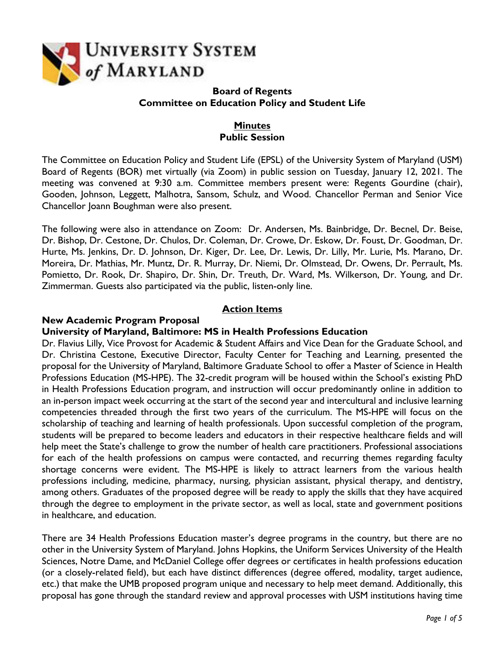

### **Board of Regents Committee on Education Policy and Student Life**

# **Minutes Public Session**

The Committee on Education Policy and Student Life (EPSL) of the University System of Maryland (USM) Board of Regents (BOR) met virtually (via Zoom) in public session on Tuesday, January 12, 2021. The meeting was convened at 9:30 a.m. Committee members present were: Regents Gourdine (chair), Gooden, Johnson, Leggett, Malhotra, Sansom, Schulz, and Wood. Chancellor Perman and Senior Vice Chancellor Joann Boughman were also present.

The following were also in attendance on Zoom: Dr. Andersen, Ms. Bainbridge, Dr. Becnel, Dr. Beise, Dr. Bishop, Dr. Cestone, Dr. Chulos, Dr. Coleman, Dr. Crowe, Dr. Eskow, Dr. Foust, Dr. Goodman, Dr. Hurte, Ms. Jenkins, Dr. D. Johnson, Dr. Kiger, Dr. Lee, Dr. Lewis, Dr. Lilly, Mr. Lurie, Ms. Marano, Dr. Moreira, Dr. Mathias, Mr. Muntz, Dr. R. Murray, Dr. Niemi, Dr. Olmstead, Dr. Owens, Dr. Perrault, Ms. Pomietto, Dr. Rook, Dr. Shapiro, Dr. Shin, Dr. Treuth, Dr. Ward, Ms. Wilkerson, Dr. Young, and Dr. Zimmerman. Guests also participated via the public, listen-only line.

# **Action Items**

#### **New Academic Program Proposal**

#### **University of Maryland, Baltimore: MS in Health Professions Education**

Dr. Flavius Lilly, Vice Provost for Academic & Student Affairs and Vice Dean for the Graduate School, and Dr. Christina Cestone, Executive Director, Faculty Center for Teaching and Learning, presented the proposal for the University of Maryland, Baltimore Graduate School to offer a Master of Science in Health Professions Education (MS-HPE). The 32-credit program will be housed within the School's existing PhD in Health Professions Education program, and instruction will occur predominantly online in addition to an in-person impact week occurring at the start of the second year and intercultural and inclusive learning competencies threaded through the first two years of the curriculum. The MS-HPE will focus on the scholarship of teaching and learning of health professionals. Upon successful completion of the program, students will be prepared to become leaders and educators in their respective healthcare fields and will help meet the State's challenge to grow the number of health care practitioners. Professional associations for each of the health professions on campus were contacted, and recurring themes regarding faculty shortage concerns were evident. The MS-HPE is likely to attract learners from the various health professions including, medicine, pharmacy, nursing, physician assistant, physical therapy, and dentistry, among others. Graduates of the proposed degree will be ready to apply the skills that they have acquired through the degree to employment in the private sector, as well as local, state and government positions in healthcare, and education.

There are 34 Health Professions Education master's degree programs in the country, but there are no other in the University System of Maryland. Johns Hopkins, the Uniform Services University of the Health Sciences, Notre Dame, and McDaniel College offer degrees or certificates in health professions education (or a closely-related field), but each have distinct differences (degree offered, modality, target audience, etc.) that make the UMB proposed program unique and necessary to help meet demand. Additionally, this proposal has gone through the standard review and approval processes with USM institutions having time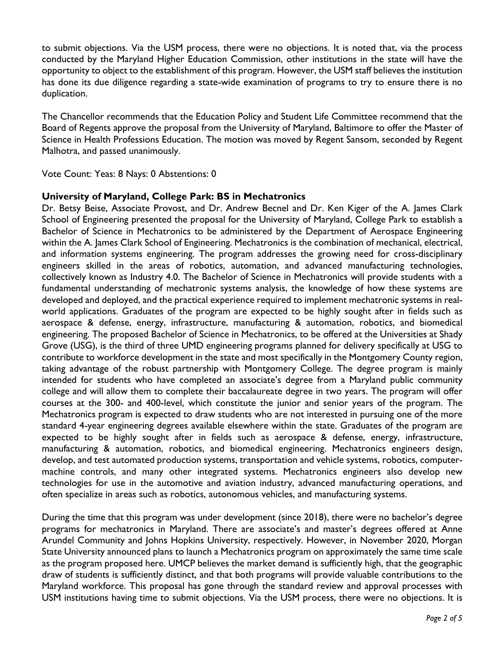to submit objections. Via the USM process, there were no objections. It is noted that, via the process conducted by the Maryland Higher Education Commission, other institutions in the state will have the opportunity to object to the establishment of this program. However, the USM staff believes the institution has done its due diligence regarding a state-wide examination of programs to try to ensure there is no duplication.

The Chancellor recommends that the Education Policy and Student Life Committee recommend that the Board of Regents approve the proposal from the University of Maryland, Baltimore to offer the Master of Science in Health Professions Education. The motion was moved by Regent Sansom, seconded by Regent Malhotra, and passed unanimously.

Vote Count: Yeas: 8 Nays: 0 Abstentions: 0

## **University of Maryland, College Park: BS in Mechatronics**

Dr. Betsy Beise, Associate Provost, and Dr. Andrew Becnel and Dr. Ken Kiger of the A. James Clark School of Engineering presented the proposal for the University of Maryland, College Park to establish a Bachelor of Science in Mechatronics to be administered by the Department of Aerospace Engineering within the A. James Clark School of Engineering. Mechatronics is the combination of mechanical, electrical, and information systems engineering. The program addresses the growing need for cross-disciplinary engineers skilled in the areas of robotics, automation, and advanced manufacturing technologies, collectively known as Industry 4.0. The Bachelor of Science in Mechatronics will provide students with a fundamental understanding of mechatronic systems analysis, the knowledge of how these systems are developed and deployed, and the practical experience required to implement mechatronic systems in realworld applications. Graduates of the program are expected to be highly sought after in fields such as aerospace & defense, energy, infrastructure, manufacturing & automation, robotics, and biomedical engineering. The proposed Bachelor of Science in Mechatronics, to be offered at the Universities at Shady Grove (USG), is the third of three UMD engineering programs planned for delivery specifically at USG to contribute to workforce development in the state and most specifically in the Montgomery County region, taking advantage of the robust partnership with Montgomery College. The degree program is mainly intended for students who have completed an associate's degree from a Maryland public community college and will allow them to complete their baccalaureate degree in two years. The program will offer courses at the 300- and 400-level, which constitute the junior and senior years of the program. The Mechatronics program is expected to draw students who are not interested in pursuing one of the more standard 4-year engineering degrees available elsewhere within the state. Graduates of the program are expected to be highly sought after in fields such as aerospace & defense, energy, infrastructure, manufacturing & automation, robotics, and biomedical engineering. Mechatronics engineers design, develop, and test automated production systems, transportation and vehicle systems, robotics, computermachine controls, and many other integrated systems. Mechatronics engineers also develop new technologies for use in the automotive and aviation industry, advanced manufacturing operations, and often specialize in areas such as robotics, autonomous vehicles, and manufacturing systems.

During the time that this program was under development (since 2018), there were no bachelor's degree programs for mechatronics in Maryland. There are associate's and master's degrees offered at Anne Arundel Community and Johns Hopkins University, respectively. However, in November 2020, Morgan State University announced plans to launch a Mechatronics program on approximately the same time scale as the program proposed here. UMCP believes the market demand is sufficiently high, that the geographic draw of students is sufficiently distinct, and that both programs will provide valuable contributions to the Maryland workforce. This proposal has gone through the standard review and approval processes with USM institutions having time to submit objections. Via the USM process, there were no objections. It is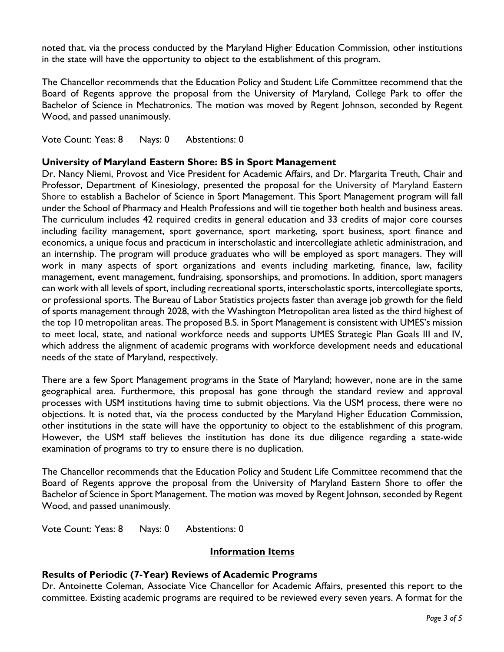noted that, via the process conducted by the Maryland Higher Education Commission, other institutions in the state will have the opportunity to object to the establishment of this program.

The Chancellor recommends that the Education Policy and Student Life Committee recommend that the Board of Regents approve the proposal from the University of Maryland, College Park to offer the Bachelor of Science in Mechatronics. The motion was moved by Regent Johnson, seconded by Regent Wood, and passed unanimously.

Vote Count: Yeas: 8 Nays: 0 Abstentions: 0

#### **University of Maryland Eastern Shore: BS in Sport Management**

Dr. Nancy Niemi, Provost and Vice President for Academic Affairs, and Dr. Margarita Treuth, Chair and Professor, Department of Kinesiology, presented the proposal for the University of Maryland Eastern Shore to establish a Bachelor of Science in Sport Management. This Sport Management program will fall under the School of Pharmacy and Health Professions and will tie together both health and business areas. The curriculum includes 42 required credits in general education and 33 credits of major core courses including facility management, sport governance, sport marketing, sport business, sport finance and economics, a unique focus and practicum in interscholastic and intercollegiate athletic administration, and an internship. The program will produce graduates who will be employed as sport managers. They will work in many aspects of sport organizations and events including marketing, finance, law, facility management, event management, fundraising, sponsorships, and promotions. In addition, sport managers can work with all levels of sport, including recreational sports, interscholastic sports, intercollegiate sports, or professional sports. The Bureau of Labor Statistics projects faster than average job growth for the field of sports management through 2028, with the Washington Metropolitan area listed as the third highest of the top 10 metropolitan areas. The proposed B.S. in Sport Management is consistent with UMES's mission to meet local, state, and national workforce needs and supports UMES Strategic Plan Goals III and IV, which address the alignment of academic programs with workforce development needs and educational needs of the state of Maryland, respectively.

There are a few Sport Management programs in the State of Maryland; however, none are in the same geographical area. Furthermore, this proposal has gone through the standard review and approval processes with USM institutions having time to submit objections. Via the USM process, there were no objections. It is noted that, via the process conducted by the Maryland Higher Education Commission, other institutions in the state will have the opportunity to object to the establishment of this program. However, the USM staff believes the institution has done its due diligence regarding a state-wide examination of programs to try to ensure there is no duplication.

The Chancellor recommends that the Education Policy and Student Life Committee recommend that the Board of Regents approve the proposal from the University of Maryland Eastern Shore to offer the Bachelor of Science in Sport Management. The motion was moved by Regent Johnson, seconded by Regent Wood, and passed unanimously.

Vote Count: Yeas: 8 Nays: 0 Abstentions: 0

#### **Information Items**

#### **Results of Periodic (7-Year) Reviews of Academic Programs**

Dr. Antoinette Coleman, Associate Vice Chancellor for Academic Affairs, presented this report to the committee. Existing academic programs are required to be reviewed every seven years. A format for the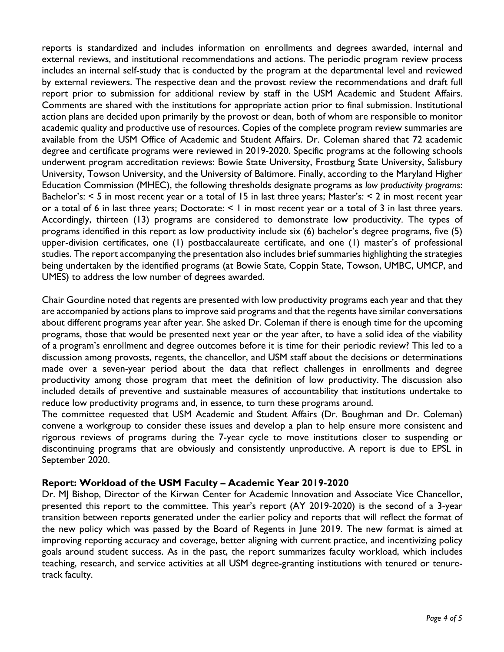reports is standardized and includes information on enrollments and degrees awarded, internal and external reviews, and institutional recommendations and actions. The periodic program review process includes an internal self-study that is conducted by the program at the departmental level and reviewed by external reviewers. The respective dean and the provost review the recommendations and draft full report prior to submission for additional review by staff in the USM Academic and Student Affairs. Comments are shared with the institutions for appropriate action prior to final submission. Institutional action plans are decided upon primarily by the provost or dean, both of whom are responsible to monitor academic quality and productive use of resources. Copies of the complete program review summaries are available from the USM Office of Academic and Student Affairs. Dr. Coleman shared that 72 academic degree and certificate programs were reviewed in 2019-2020. Specific programs at the following schools underwent program accreditation reviews: Bowie State University, Frostburg State University, Salisbury University, Towson University, and the University of Baltimore. Finally, according to the Maryland Higher Education Commission (MHEC), the following thresholds designate programs as *low productivity programs*: Bachelor's: < 5 in most recent year or a total of 15 in last three years; Master's: < 2 in most recent year or a total of 6 in last three years; Doctorate:  $\leq 1$  in most recent year or a total of 3 in last three years. Accordingly, thirteen (13) programs are considered to demonstrate low productivity. The types of programs identified in this report as low productivity include six (6) bachelor's degree programs, five (5) upper-division certificates, one (1) postbaccalaureate certificate, and one (1) master's of professional studies. The report accompanying the presentation also includes brief summaries highlighting the strategies being undertaken by the identified programs (at Bowie State, Coppin State, Towson, UMBC, UMCP, and UMES) to address the low number of degrees awarded.

Chair Gourdine noted that regents are presented with low productivity programs each year and that they are accompanied by actions plans to improve said programs and that the regents have similar conversations about different programs year after year. She asked Dr. Coleman if there is enough time for the upcoming programs, those that would be presented next year or the year after, to have a solid idea of the viability of a program's enrollment and degree outcomes before it is time for their periodic review? This led to a discussion among provosts, regents, the chancellor, and USM staff about the decisions or determinations made over a seven-year period about the data that reflect challenges in enrollments and degree productivity among those program that meet the definition of low productivity. The discussion also included details of preventive and sustainable measures of accountability that institutions undertake to reduce low productivity programs and, in essence, to turn these programs around.

The committee requested that USM Academic and Student Affairs (Dr. Boughman and Dr. Coleman) convene a workgroup to consider these issues and develop a plan to help ensure more consistent and rigorous reviews of programs during the 7-year cycle to move institutions closer to suspending or discontinuing programs that are obviously and consistently unproductive. A report is due to EPSL in September 2020.

#### **Report: Workload of the USM Faculty – Academic Year 2019-2020**

Dr. MJ Bishop, Director of the Kirwan Center for Academic Innovation and Associate Vice Chancellor, presented this report to the committee. This year's report (AY 2019-2020) is the second of a 3-year transition between reports generated under the earlier policy and reports that will reflect the format of the new policy which was passed by the Board of Regents in June 2019. The new format is aimed at improving reporting accuracy and coverage, better aligning with current practice, and incentivizing policy goals around student success. As in the past, the report summarizes faculty workload, which includes teaching, research, and service activities at all USM degree-granting institutions with tenured or tenuretrack faculty.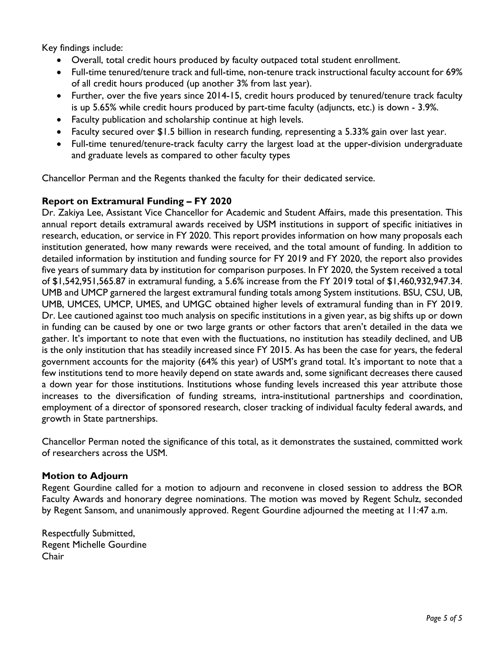Key findings include:

- Overall, total credit hours produced by faculty outpaced total student enrollment.
- Full-time tenured/tenure track and full-time, non-tenure track instructional faculty account for 69% of all credit hours produced (up another 3% from last year).
- Further, over the five years since 2014-15, credit hours produced by tenured/tenure track faculty is up 5.65% while credit hours produced by part-time faculty (adjuncts, etc.) is down - 3.9%.
- Faculty publication and scholarship continue at high levels.
- Faculty secured over \$1.5 billion in research funding, representing a 5.33% gain over last year.
- Full-time tenured/tenure-track faculty carry the largest load at the upper-division undergraduate and graduate levels as compared to other faculty types

Chancellor Perman and the Regents thanked the faculty for their dedicated service.

# **Report on Extramural Funding – FY 2020**

Dr. Zakiya Lee, Assistant Vice Chancellor for Academic and Student Affairs, made this presentation. This annual report details extramural awards received by USM institutions in support of specific initiatives in research, education, or service in FY 2020. This report provides information on how many proposals each institution generated, how many rewards were received, and the total amount of funding. In addition to detailed information by institution and funding source for FY 2019 and FY 2020, the report also provides five years of summary data by institution for comparison purposes. In FY 2020, the System received a total of \$1,542,951,565.87 in extramural funding, a 5.6% increase from the FY 2019 total of \$1,460,932,947.34. UMB and UMCP garnered the largest extramural funding totals among System institutions. BSU, CSU, UB, UMB, UMCES, UMCP, UMES, and UMGC obtained higher levels of extramural funding than in FY 2019. Dr. Lee cautioned against too much analysis on specific institutions in a given year, as big shifts up or down in funding can be caused by one or two large grants or other factors that aren't detailed in the data we gather. It's important to note that even with the fluctuations, no institution has steadily declined, and UB is the only institution that has steadily increased since FY 2015. As has been the case for years, the federal government accounts for the majority (64% this year) of USM's grand total. It's important to note that a few institutions tend to more heavily depend on state awards and, some significant decreases there caused a down year for those institutions. Institutions whose funding levels increased this year attribute those increases to the diversification of funding streams, intra-institutional partnerships and coordination, employment of a director of sponsored research, closer tracking of individual faculty federal awards, and growth in State partnerships.

Chancellor Perman noted the significance of this total, as it demonstrates the sustained, committed work of researchers across the USM.

## **Motion to Adjourn**

Regent Gourdine called for a motion to adjourn and reconvene in closed session to address the BOR Faculty Awards and honorary degree nominations. The motion was moved by Regent Schulz, seconded by Regent Sansom, and unanimously approved. Regent Gourdine adjourned the meeting at 11:47 a.m.

Respectfully Submitted, Regent Michelle Gourdine Chair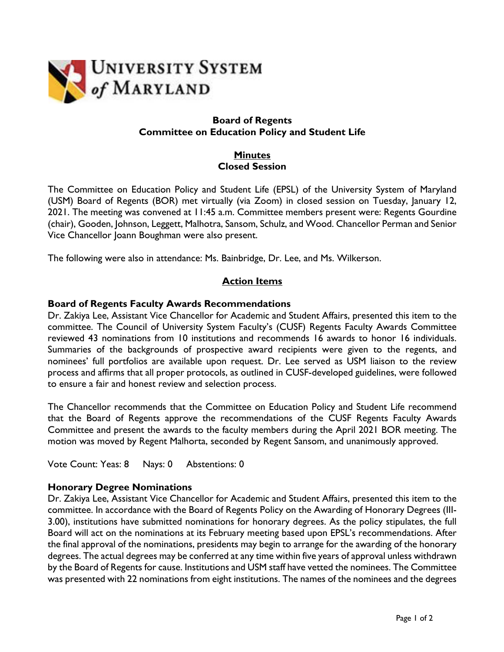

### **Board of Regents Committee on Education Policy and Student Life**

## **Minutes Closed Session**

The Committee on Education Policy and Student Life (EPSL) of the University System of Maryland (USM) Board of Regents (BOR) met virtually (via Zoom) in closed session on Tuesday, January 12, 2021. The meeting was convened at 11:45 a.m. Committee members present were: Regents Gourdine (chair), Gooden, Johnson, Leggett, Malhotra, Sansom, Schulz, and Wood. Chancellor Perman and Senior Vice Chancellor Joann Boughman were also present.

The following were also in attendance: Ms. Bainbridge, Dr. Lee, and Ms. Wilkerson.

# **Action Items**

### **Board of Regents Faculty Awards Recommendations**

Dr. Zakiya Lee, Assistant Vice Chancellor for Academic and Student Affairs, presented this item to the committee. The Council of University System Faculty's (CUSF) Regents Faculty Awards Committee reviewed 43 nominations from 10 institutions and recommends 16 awards to honor 16 individuals. Summaries of the backgrounds of prospective award recipients were given to the regents, and nominees' full portfolios are available upon request. Dr. Lee served as USM liaison to the review process and affirms that all proper protocols, as outlined in CUSF-developed guidelines, were followed to ensure a fair and honest review and selection process.

The Chancellor recommends that the Committee on Education Policy and Student Life recommend that the Board of Regents approve the recommendations of the CUSF Regents Faculty Awards Committee and present the awards to the faculty members during the April 2021 BOR meeting. The motion was moved by Regent Malhorta, seconded by Regent Sansom, and unanimously approved.

Vote Count: Yeas: 8 Nays: 0 Abstentions: 0

## **Honorary Degree Nominations**

Dr. Zakiya Lee, Assistant Vice Chancellor for Academic and Student Affairs, presented this item to the committee. In accordance with the Board of Regents Policy on the Awarding of Honorary Degrees (III-3.00), institutions have submitted nominations for honorary degrees. As the policy stipulates, the full Board will act on the nominations at its February meeting based upon EPSL's recommendations. After the final approval of the nominations, presidents may begin to arrange for the awarding of the honorary degrees. The actual degrees may be conferred at any time within five years of approval unless withdrawn by the Board of Regents for cause. Institutions and USM staff have vetted the nominees. The Committee was presented with 22 nominations from eight institutions. The names of the nominees and the degrees